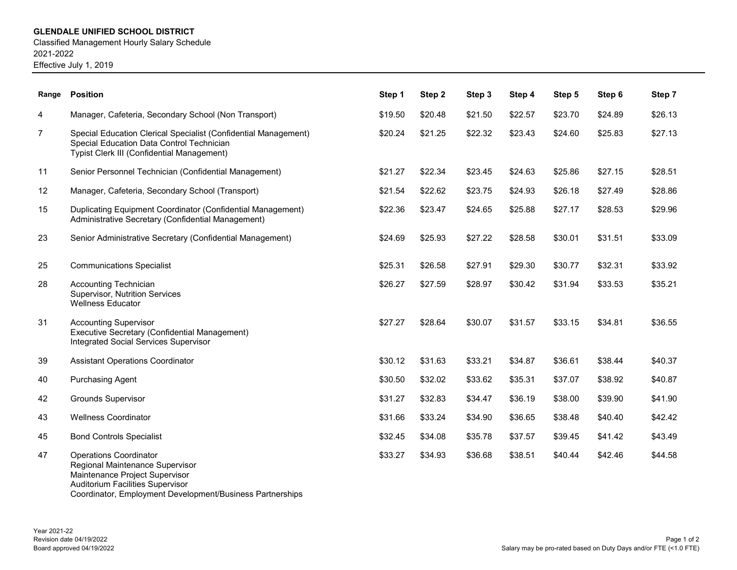## **GLENDALE UNIFIED SCHOOL DISTRICT**

Classified Management Hourly Salary Schedule 2021-2022 Effective July 1, 2019

| Range          | <b>Position</b>                                                                                                                                                                                            | Step 1  | Step 2  | Step 3  | Step 4  | Step 5  | Step 6  | Step 7  |
|----------------|------------------------------------------------------------------------------------------------------------------------------------------------------------------------------------------------------------|---------|---------|---------|---------|---------|---------|---------|
| 4              | Manager, Cafeteria, Secondary School (Non Transport)                                                                                                                                                       | \$19.50 | \$20.48 | \$21.50 | \$22.57 | \$23.70 | \$24.89 | \$26.13 |
| $\overline{7}$ | Special Education Clerical Specialist (Confidential Management)<br>Special Education Data Control Technician<br>Typist Clerk III (Confidential Management)                                                 | \$20.24 | \$21.25 | \$22.32 | \$23.43 | \$24.60 | \$25.83 | \$27.13 |
| 11             | Senior Personnel Technician (Confidential Management)                                                                                                                                                      | \$21.27 | \$22.34 | \$23.45 | \$24.63 | \$25.86 | \$27.15 | \$28.51 |
| 12             | Manager, Cafeteria, Secondary School (Transport)                                                                                                                                                           | \$21.54 | \$22.62 | \$23.75 | \$24.93 | \$26.18 | \$27.49 | \$28.86 |
| 15             | Duplicating Equipment Coordinator (Confidential Management)<br>Administrative Secretary (Confidential Management)                                                                                          | \$22.36 | \$23.47 | \$24.65 | \$25.88 | \$27.17 | \$28.53 | \$29.96 |
| 23             | Senior Administrative Secretary (Confidential Management)                                                                                                                                                  | \$24.69 | \$25.93 | \$27.22 | \$28.58 | \$30.01 | \$31.51 | \$33.09 |
| 25             | <b>Communications Specialist</b>                                                                                                                                                                           | \$25.31 | \$26.58 | \$27.91 | \$29.30 | \$30.77 | \$32.31 | \$33.92 |
| 28             | <b>Accounting Technician</b><br><b>Supervisor, Nutrition Services</b><br><b>Wellness Educator</b>                                                                                                          | \$26.27 | \$27.59 | \$28.97 | \$30.42 | \$31.94 | \$33.53 | \$35.21 |
| 31             | <b>Accounting Supervisor</b><br>Executive Secretary (Confidential Management)<br>Integrated Social Services Supervisor                                                                                     | \$27.27 | \$28.64 | \$30.07 | \$31.57 | \$33.15 | \$34.81 | \$36.55 |
| 39             | <b>Assistant Operations Coordinator</b>                                                                                                                                                                    | \$30.12 | \$31.63 | \$33.21 | \$34.87 | \$36.61 | \$38.44 | \$40.37 |
| 40             | <b>Purchasing Agent</b>                                                                                                                                                                                    | \$30.50 | \$32.02 | \$33.62 | \$35.31 | \$37.07 | \$38.92 | \$40.87 |
| 42             | <b>Grounds Supervisor</b>                                                                                                                                                                                  | \$31.27 | \$32.83 | \$34.47 | \$36.19 | \$38.00 | \$39.90 | \$41.90 |
| 43             | <b>Wellness Coordinator</b>                                                                                                                                                                                | \$31.66 | \$33.24 | \$34.90 | \$36.65 | \$38.48 | \$40.40 | \$42.42 |
| 45             | <b>Bond Controls Specialist</b>                                                                                                                                                                            | \$32.45 | \$34.08 | \$35.78 | \$37.57 | \$39.45 | \$41.42 | \$43.49 |
| 47             | <b>Operations Coordinator</b><br>Regional Maintenance Supervisor<br>Maintenance Project Supervisor<br><b>Auditorium Facilities Supervisor</b><br>Coordinator, Employment Development/Business Partnerships | \$33.27 | \$34.93 | \$36.68 | \$38.51 | \$40.44 | \$42.46 | \$44.58 |